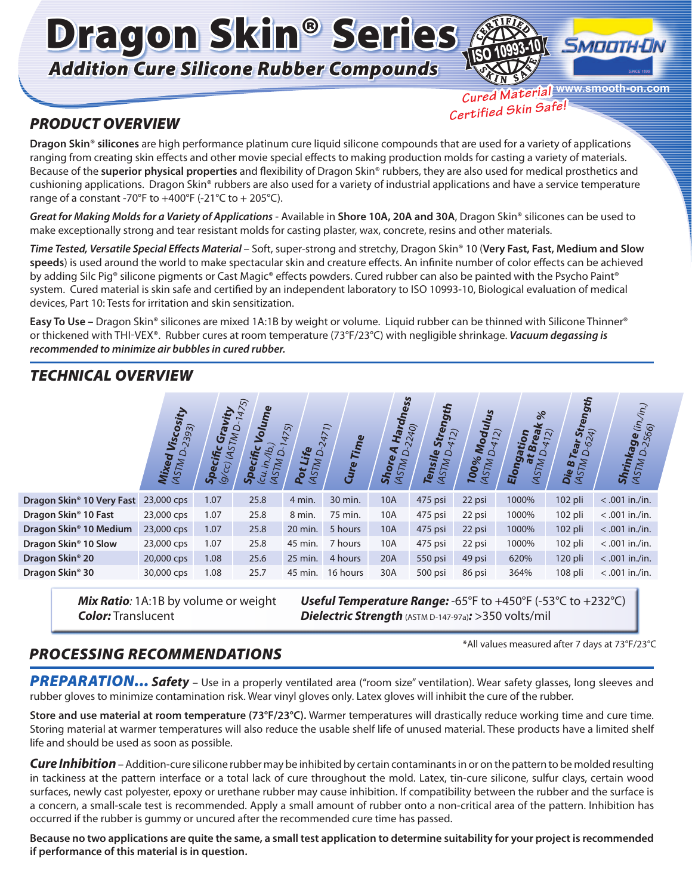Dragon Skin® Series *Addition Cure Silicone Rubber Compounds*



## *PRODUCT OVERVIEW*

**www.smooth-on.com** *Cured Material Certified Skin Safe!*

**Dragon Skin® silicones** are high performance platinum cure liquid silicone compounds that are used for a variety of applications ranging from creating skin effects and other movie special effects to making production molds for casting a variety of materials. Because of the **superior physical properties** and flexibility of Dragon Skin® rubbers, they are also used for medical prosthetics and cushioning applications. Dragon Skin® rubbers are also used for a variety of industrial applications and have a service temperature range of a constant -70°F to  $+400$ °F (-21°C to  $+205$ °C).

*Great for Making Molds for a Variety of Applications* - Available in **Shore 10A, 20A and 30A**, Dragon Skin® silicones can be used to make exceptionally strong and tear resistant molds for casting plaster, wax, concrete, resins and other materials.

*Time Tested, Versatile Special Effects Material* – Soft, super-strong and stretchy, Dragon Skin® 10 (**Very Fast, Fast, Medium and Slow speeds**) is used around the world to make spectacular skin and creature effects. An infinite number of color effects can be achieved by adding Silc Pig® silicone pigments or Cast Magic® effects powders. Cured rubber can also be painted with the Psycho Paint® system. Cured material is skin safe and certified by an independent laboratory to ISO 10993-10, Biological evaluation of medical devices, Part 10: Tests for irritation and skin sensitization.

**Easy To Use –** Dragon Skin® silicones are mixed 1A:1B by weight or volume. Liquid rubber can be thinned with Silicone Thinner® or thickened with THI-VEX®. Rubber cures at room temperature (73°F/23°C) with negligible shrinkage. *Vacuum degassing is recommended to minimize air bubbles in cured rubber.*

# *TECHNICAL OVERVIEW*

|                                       | sity<br>2393)<br>Visco.<br>Q<br>Mixed<br>(ASTM L | <b>Gy</b><br><b>G</b><br><b>ASTM</b><br>ロ<br>Specific<br>9/2 | $\overline{\mathcal{S}}$<br>Volume<br>$\overline{b}$<br>ihc<br>M<br>$s_{\sf Pe_{C}}$<br>$\overline{c}$<br><b>CAS</b> | 475)<br>ife<br><b>ASTM</b><br>┙<br>Pot | 2471)<br>Time<br>Cure | Shore | <b>Hardness</b><br>2240)<br>TO<br>STM<br>$\propto$ | <b>Da</b><br><b>Stre</b><br>$\overline{2}$<br>Tensile<br>(ASTM D. | Modulus<br>$\widetilde{Q}$<br>$\tau$<br>Q<br>00%<br><b>ASTM</b><br>$\overline{\phantom{0}}$ | $\%$<br>$\mathbf{G} \triangle$<br>$\dot{p}$<br>$\omega$<br>○<br>Elong<br>al<br>$\tilde{M}$<br>2A | haau<br>Strey<br>$\overline{z}$<br>Tear<br><b>O</b><br>۱Ö<br>$\bar{M}$<br>$\boldsymbol{\omega}$<br><b>Die</b><br>(457<br>$\sigma$ | $\langle n \rangle$<br><b>kage</b> (in.,<br>Shrin<br>ASTM |
|---------------------------------------|--------------------------------------------------|--------------------------------------------------------------|----------------------------------------------------------------------------------------------------------------------|----------------------------------------|-----------------------|-------|----------------------------------------------------|-------------------------------------------------------------------|---------------------------------------------------------------------------------------------|--------------------------------------------------------------------------------------------------|-----------------------------------------------------------------------------------------------------------------------------------|-----------------------------------------------------------|
| Dragon Skin <sup>®</sup> 10 Very Fast | 23,000 cps                                       | 1.07                                                         | 25.8                                                                                                                 | 4 min.                                 | 30 min.               | 10A   |                                                    | 475 psi                                                           | 22 psi                                                                                      | 1000%                                                                                            | $102$ pli                                                                                                                         | $< .001$ in./in.                                          |
| Dragon Skin <sup>®</sup> 10 Fast      | 23,000 cps                                       | 1.07                                                         | 25.8                                                                                                                 | 8 min.                                 | 75 min.               | 10A   |                                                    | 475 psi                                                           | 22 psi                                                                                      | 1000%                                                                                            | 102 pli                                                                                                                           | $< .001$ in./in.                                          |
| Dragon Skin <sup>®</sup> 10 Medium    | 23,000 cps                                       | 1.07                                                         | 25.8                                                                                                                 | 20 min.                                | 5 hours               | 10A   |                                                    | 475 psi                                                           | 22 psi                                                                                      | 1000%                                                                                            | $102$ pli                                                                                                                         | $< .001$ in./in.                                          |
| Dragon Skin <sup>®</sup> 10 Slow      | 23,000 cps                                       | 1.07                                                         | 25.8                                                                                                                 | 45 min.                                | 7 hours               | 10A   |                                                    | 475 psi                                                           | 22 psi                                                                                      | 1000%                                                                                            | $102$ pli                                                                                                                         | $< .001$ in./in.                                          |
| Dragon Skin <sup>®</sup> 20           | 20,000 cps                                       | 1.08                                                         | 25.6                                                                                                                 | 25 min.                                | 4 hours               | 20A   |                                                    | 550 psi                                                           | 49 psi                                                                                      | 620%                                                                                             | 120 pli                                                                                                                           | $< .001$ in./in.                                          |
| Dragon Skin <sup>®</sup> 30           | 30,000 cps                                       | 1.08                                                         | 25.7                                                                                                                 | 45 min.                                | 16 hours              | 30A   |                                                    | 500 psi                                                           | 86 psi                                                                                      | 364%                                                                                             | 108 pli                                                                                                                           | $< .001$ in./in.                                          |

*Mix Ratio:* 1A:1B by volume or weight *Color:* Translucent

*Useful Temperature Range:* -65°F to +450°F (-53°C to +232°C) *Dielectric Strength* (ASTM D-147-97a)*:* >350 volts/mil

## *PROCESSING RECOMMENDATIONS*

\*All values measured after 7 days at 73°F/23°C

PREPARATION... Safety – Use in a properly ventilated area ("room size" ventilation). Wear safety glasses, long sleeves and rubber gloves to minimize contamination risk. Wear vinyl gloves only. Latex gloves will inhibit the cure of the rubber.

**Store and use material at room temperature (73°F/23°C).** Warmer temperatures will drastically reduce working time and cure time. Storing material at warmer temperatures will also reduce the usable shelf life of unused material. These products have a limited shelf life and should be used as soon as possible.

*Cure Inhibition* – Addition-cure silicone rubber may be inhibited by certain contaminants in or on the pattern to be molded resulting in tackiness at the pattern interface or a total lack of cure throughout the mold. Latex, tin-cure silicone, sulfur clays, certain wood surfaces, newly cast polyester, epoxy or urethane rubber may cause inhibition. If compatibility between the rubber and the surface is a concern, a small-scale test is recommended. Apply a small amount of rubber onto a non-critical area of the pattern. Inhibition has occurred if the rubber is gummy or uncured after the recommended cure time has passed.

**Because no two applications are quite the same, a small test application to determine suitability for your project is recommended if performance of this material is in question.**